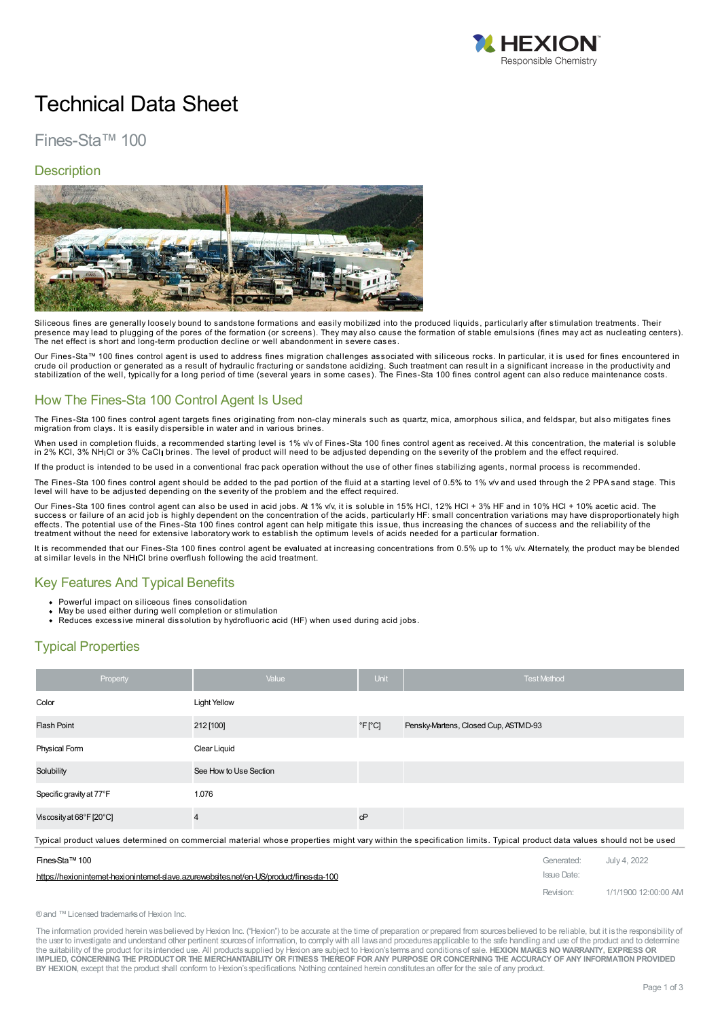

# Technical Data Sheet

# Fines-Sta™ 100

### **Description**



Siliceous fines are generally loosely bound to sandstone formations and easily mobilized into the produced liquids, particularly after stimulation treatments. Their presence may lead to plugging of the pores of the formation (or screens). They may also cause the formation of stable emulsions (fines may act as nucleating centers).<br>The net effect is short and long-term production declin

Our Fines-Sta™ 100 fines control agent is used to address fines migration challenges associated with siliceous rocks. In particular, it is used for fines encountered in crude oil production or generated as a result of hydraulic fracturing or sandstone acidizing. Such treatment can result in a significant increase in the productivity and<br>stabilization of the well, typically for a long peri

### How The Fines-Sta 100 Control Agent Is Used

The Fines-Sta 100 fines control agent targets fines originating from non-clay minerals such as quartz, mica, amorphous silica, and feldspar, but also mitigates fines migration from clays. It is easily dispersible in water

When used in completion fluids, a recommended starting level is 1% v/v of Fines-Sta 100 fines control agent as received. At this concentration, the material is soluble in 2% KCl, 3% NH Cl or 3% CaCl brines. The level of product will need to be adjusted depending on the severity of the problem and the effect required.

product is intended to be used in a conventional frac pack operation without the use of other fines stabilizing agents, normal process is recommended.

The Fines-Sta 100 fines control agent should be added to the pad portion of the fluid at a starting level of 0.5% to 1% v/v and used through the 2 PPA sand stage. This level will have to be adjusted depending on the severity of the problem and the effect required.

Our Fines-Sta 100 fines control agent can also be used in acid jobs. At 1% y/v, it is soluble in 15% HCl, 12% HCl + 3% HF and in 10% HCl + 10% acetic acid. The success or failure of an acid job is highly dependent on the concentration of the acids, particularly HF: small concentration variations may have disproportionately high effects. The potential use of the Fines-Sta 100 fines control agent can help mitigate this issue, thus increasing the chances of success and the reliability of the treatment without the need for extensive laboratory work to establish the optimum levels of acids needed for a particular formation.

It is recommended that our Fines-Sta 100 fines control agent be evaluated at increasing concentrations from 0.5% up to 1% v/v. Alternately, the product may be blended at similar levels in the NH Cl brine overflush following the acid treatment.

### Key Features And Typical Benefits

- 
- 
- Powerful impact on siliceous fines consolidation<br>May be used either during well completion or stimulation<br>Reduces excessive mineral dissolution by hydrofluoric acid (HF) when used during acid jobs.

### Typical Properties

| Property                 | Value                  | Unit                     | <b>Test Method</b>                   |
|--------------------------|------------------------|--------------------------|--------------------------------------|
| Color                    | <b>Light Yellow</b>    |                          |                                      |
| <b>Flash Point</b>       | 212 [100]              | $\degree$ F $\degree$ C] | Pensky-Martens, Closed Cup, ASTMD-93 |
| Physical Form            | Clear Liquid           |                          |                                      |
| Solubility               | See How to Use Section |                          |                                      |
| Specific gravity at 77°F | 1.076                  |                          |                                      |
| Viscosity at 68°F [20°C] | 4                      | cP                       |                                      |

Typical product values determined on [commercial](https://hexioninternet-hexioninternet-slave.azurewebsites.net/en-US/product/fines-sta-100) material whose properties might vary within the specification limits. Typical product data values should not be used

| Fines-Sta™ 100                                                                          | Generated: July 4, 2022 |                      |
|-----------------------------------------------------------------------------------------|-------------------------|----------------------|
| https://hexionintemet-hexionintemet-slave.azurewebsites.net/en-US/product/fines-sta-100 | Issue Date:             |                      |
|                                                                                         | Revision:               | 1/1/1900 12:00:00 AM |

®and ™Licensed trademarksof Hexion Inc.

The information provided herein wasbelieved by Hexion Inc. ("Hexion") to be accurate at the time of preparation or prepared from sourcesbelieved to be reliable, but it isthe responsibility of the user to investigate and understand other pertinent sources of information, to comply with all laws and procedures applicable to the safe handling and use of the product and to determine the suitability of the product for itsintended use. All productssupplied by Hexion are subject to Hexion'stermsand conditionsof sale. **HEXION MAKES NO WARRANTY, EXPRESS OR** IMPLIED, CONCERNING THE PRODUCT OR THE MERCHANTABILITY OR FITNESS THEREOF FOR ANY PURPOSE OR CONCERNING THE ACCURACY OF ANY INFORMATION PROVIDED **BY HEXION**, except that the product shall conform to Hexion'sspecifications. Nothing contained herein constitutesan offer for the sale of any product.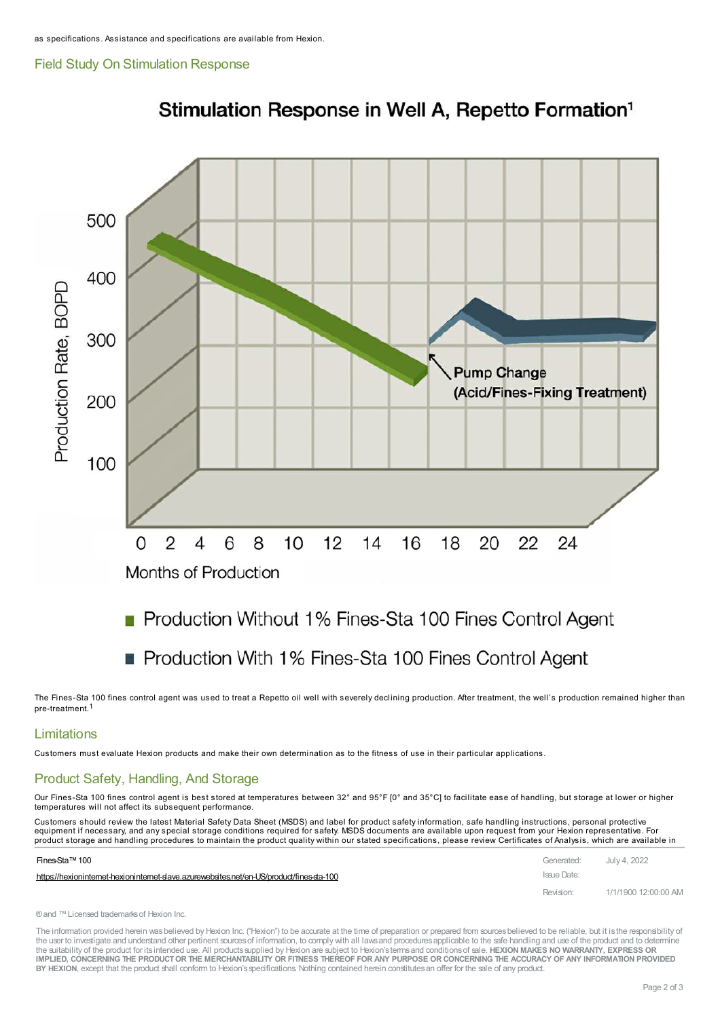#### Field Study On Stimulation Response



# Stimulation Response in Well A, Repetto Formation<sup>1</sup>

# Production Without 1% Fines-Sta 100 Fines Control Agent

# Production With 1% Fines-Sta 100 Fines Control Agent

The Fines-Sta 100 fines control agent was used to treat a Repetto oil well with severely declining production. After treatment, the well's production remained higher than pre-treatment.1

### Limitations

Customers must evaluate Hexion products and make their own determination as to the fitness of use in their particular applications.

### Product Safety, Handling, And Storage

Our Fines-Sta 100 fines control agent is best stored at temperatures between 32° and 95°F [0° and 35°C] to facilitate ease of handling, but storage at lower or higher temperatures will not affect its subsequent performance.

Customers should review the latest Material Safety Data Sheet (MSDS) and label for product safety information, safe handling instructions, personal protective equipment if necessary, and any special storage conditions required for safety. MSDS documents are available upon request from your Hexion representative. For product storage and handling [procedures](https://hexioninternet-hexioninternet-slave.azurewebsites.net/en-US/product/fines-sta-100) to maintain the product quality within our stated specifications, please review Certificates of Analysis, which are available in

| Fines-Sta™ 100                                                                            | Generated: July 4, 2022 |                      |
|-------------------------------------------------------------------------------------------|-------------------------|----------------------|
| https://hexioninternet-hexioninternet-slave.azurewebsites.net/en-US/product/fines-sta-100 | Issue Date:             |                      |
|                                                                                           | Revision:               | 1/1/1900 12:00:00 AM |

® and ™ Licensed trademarks of Hexion Inc.

The information provided herein was believed by Hexion Inc. ("Hexion") to be accurate at the time of preparation or prepared from sources believed to be reliable, but it is the responsibility of the user to investigate and understand other pertinent sources of information, to comply with all laws and procedures applicable to the safe handling and use of the product and to determine the suitability of the product for itsintended use. All productssupplied by Hexion are subject to Hexion'stermsand conditionsof sale. **HEXION MAKES NO WARRANTY, EXPRESS OR** IMPLIED, CONCERNING THE PRODUCT OR THE MERCHANTABILITY OR FITNESS THEREOF FOR ANY PURPOSE OR CONCERNING THE ACCURACY OF ANY INFORMATION PROVIDED **BY HEXION**, except that the product shall conform to Hexion'sspecifications. Nothing contained herein constitutesan offer for the sale of any product.